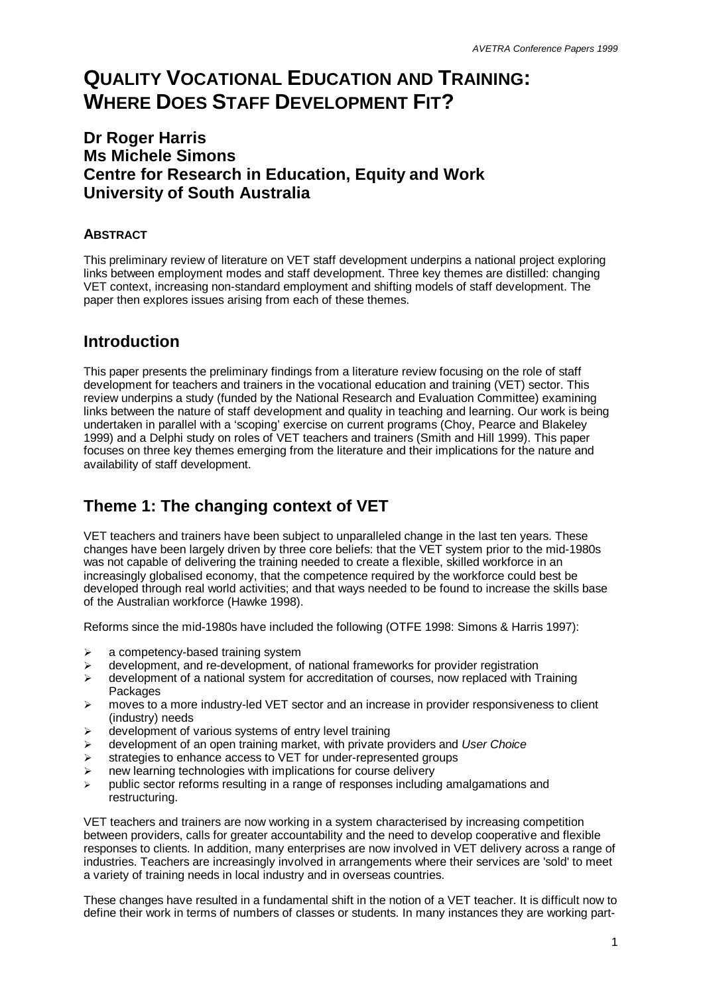# **QUALITY VOCATIONAL EDUCATION AND TRAINING: WHERE DOES STAFF DEVELOPMENT FIT?**

## **Dr Roger Harris Ms Michele Simons Centre for Research in Education, Equity and Work University of South Australia**

#### **ABSTRACT**

This preliminary review of literature on VET staff development underpins a national project exploring links between employment modes and staff development. Three key themes are distilled: changing VET context, increasing non-standard employment and shifting models of staff development. The paper then explores issues arising from each of these themes.

## **Introduction**

This paper presents the preliminary findings from a literature review focusing on the role of staff development for teachers and trainers in the vocational education and training (VET) sector. This review underpins a study (funded by the National Research and Evaluation Committee) examining links between the nature of staff development and quality in teaching and learning. Our work is being undertaken in parallel with a 'scoping' exercise on current programs (Choy, Pearce and Blakeley 1999) and a Delphi study on roles of VET teachers and trainers (Smith and Hill 1999). This paper focuses on three key themes emerging from the literature and their implications for the nature and availability of staff development.

# **Theme 1: The changing context of VET**

VET teachers and trainers have been subject to unparalleled change in the last ten years. These changes have been largely driven by three core beliefs: that the VET system prior to the mid-1980s was not capable of delivering the training needed to create a flexible, skilled workforce in an increasingly globalised economy, that the competence required by the workforce could best be developed through real world activities; and that ways needed to be found to increase the skills base of the Australian workforce (Hawke 1998).

Reforms since the mid-1980s have included the following (OTFE 1998: Simons & Harris 1997):

- $\geq$  a competency-based training system
- $\geq$  development, and re-development, of national frameworks for provider registration
- development of a national system for accreditation of courses, now replaced with Training Packages
- $\triangleright$  moves to a more industry-led VET sector and an increase in provider responsiveness to client (industry) needs
- $\triangleright$  development of various systems of entry level training
- ÿ development of an open training market, with private providers and *User Choice*
- $\triangleright$  strategies to enhance access to VET for under-represented groups
- $\triangleright$  new learning technologies with implications for course delivery
- $\rightarrow$  public sector reforms resulting in a range of responses including amalgamations and restructuring.

VET teachers and trainers are now working in a system characterised by increasing competition between providers, calls for greater accountability and the need to develop cooperative and flexible responses to clients. In addition, many enterprises are now involved in VET delivery across a range of industries. Teachers are increasingly involved in arrangements where their services are 'sold' to meet a variety of training needs in local industry and in overseas countries.

These changes have resulted in a fundamental shift in the notion of a VET teacher. It is difficult now to define their work in terms of numbers of classes or students. In many instances they are working part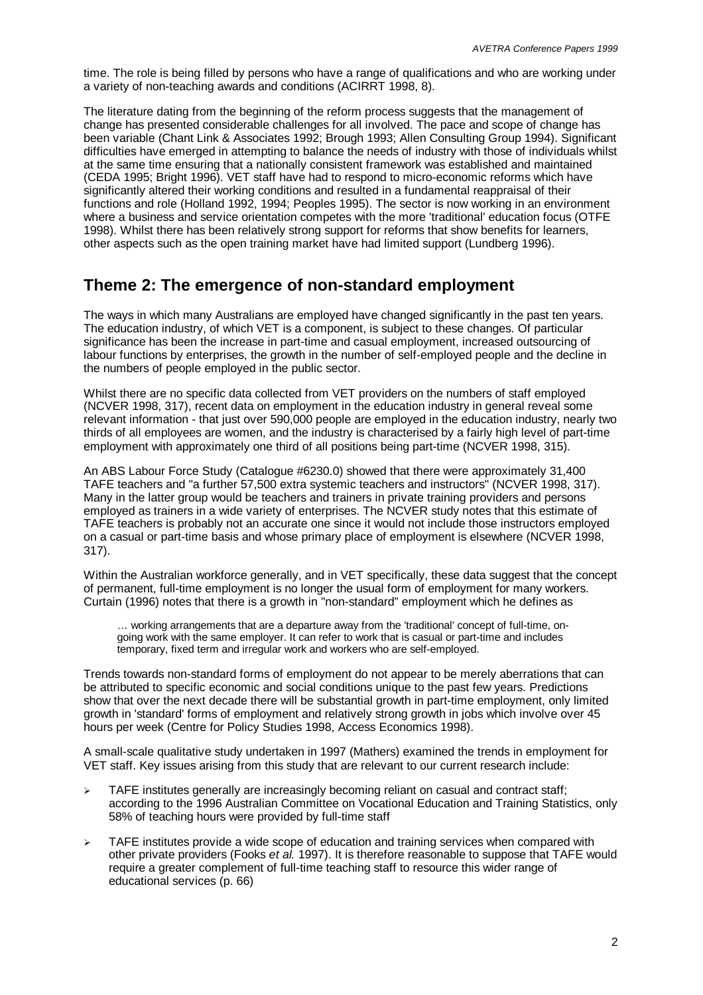time. The role is being filled by persons who have a range of qualifications and who are working under a variety of non-teaching awards and conditions (ACIRRT 1998, 8).

The literature dating from the beginning of the reform process suggests that the management of change has presented considerable challenges for all involved. The pace and scope of change has been variable (Chant Link & Associates 1992; Brough 1993; Allen Consulting Group 1994). Significant difficulties have emerged in attempting to balance the needs of industry with those of individuals whilst at the same time ensuring that a nationally consistent framework was established and maintained (CEDA 1995; Bright 1996). VET staff have had to respond to micro-economic reforms which have significantly altered their working conditions and resulted in a fundamental reappraisal of their functions and role (Holland 1992, 1994; Peoples 1995). The sector is now working in an environment where a business and service orientation competes with the more 'traditional' education focus (OTFE 1998). Whilst there has been relatively strong support for reforms that show benefits for learners, other aspects such as the open training market have had limited support (Lundberg 1996).

#### **Theme 2: The emergence of non-standard employment**

The ways in which many Australians are employed have changed significantly in the past ten years. The education industry, of which VET is a component, is subject to these changes. Of particular significance has been the increase in part-time and casual employment, increased outsourcing of labour functions by enterprises, the growth in the number of self-employed people and the decline in the numbers of people employed in the public sector.

Whilst there are no specific data collected from VET providers on the numbers of staff employed (NCVER 1998, 317), recent data on employment in the education industry in general reveal some relevant information - that just over 590,000 people are employed in the education industry, nearly two thirds of all employees are women, and the industry is characterised by a fairly high level of part-time employment with approximately one third of all positions being part-time (NCVER 1998, 315).

An ABS Labour Force Study (Catalogue #6230.0) showed that there were approximately 31,400 TAFE teachers and "a further 57,500 extra systemic teachers and instructors" (NCVER 1998, 317). Many in the latter group would be teachers and trainers in private training providers and persons employed as trainers in a wide variety of enterprises. The NCVER study notes that this estimate of TAFE teachers is probably not an accurate one since it would not include those instructors employed on a casual or part-time basis and whose primary place of employment is elsewhere (NCVER 1998, 317).

Within the Australian workforce generally, and in VET specifically, these data suggest that the concept of permanent, full-time employment is no longer the usual form of employment for many workers. Curtain (1996) notes that there is a growth in "non-standard" employment which he defines as

… working arrangements that are a departure away from the 'traditional' concept of full-time, ongoing work with the same employer. It can refer to work that is casual or part-time and includes temporary, fixed term and irregular work and workers who are self-employed.

Trends towards non-standard forms of employment do not appear to be merely aberrations that can be attributed to specific economic and social conditions unique to the past few years. Predictions show that over the next decade there will be substantial growth in part-time employment, only limited growth in 'standard' forms of employment and relatively strong growth in jobs which involve over 45 hours per week (Centre for Policy Studies 1998, Access Economics 1998).

A small-scale qualitative study undertaken in 1997 (Mathers) examined the trends in employment for VET staff. Key issues arising from this study that are relevant to our current research include:

- $\triangleright$  TAFE institutes generally are increasingly becoming reliant on casual and contract staff; according to the 1996 Australian Committee on Vocational Education and Training Statistics, only 58% of teaching hours were provided by full-time staff
- $\triangleright$  TAFE institutes provide a wide scope of education and training services when compared with other private providers (Fooks *et al.* 1997). It is therefore reasonable to suppose that TAFE would require a greater complement of full-time teaching staff to resource this wider range of educational services (p. 66)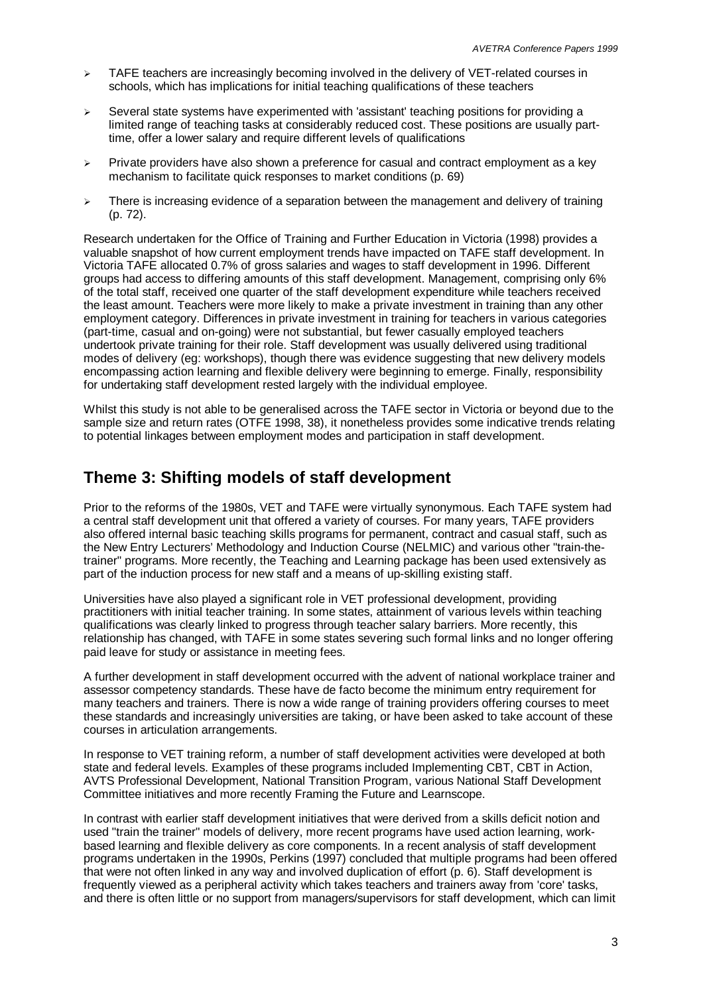- $\geq$  TAFE teachers are increasingly becoming involved in the delivery of VET-related courses in schools, which has implications for initial teaching qualifications of these teachers
- $\geq$  Several state systems have experimented with 'assistant' teaching positions for providing a limited range of teaching tasks at considerably reduced cost. These positions are usually parttime, offer a lower salary and require different levels of qualifications
- $\triangleright$  Private providers have also shown a preference for casual and contract employment as a key mechanism to facilitate quick responses to market conditions (p. 69)
- $\triangleright$  There is increasing evidence of a separation between the management and delivery of training (p. 72).

Research undertaken for the Office of Training and Further Education in Victoria (1998) provides a valuable snapshot of how current employment trends have impacted on TAFE staff development. In Victoria TAFE allocated 0.7% of gross salaries and wages to staff development in 1996. Different groups had access to differing amounts of this staff development. Management, comprising only 6% of the total staff, received one quarter of the staff development expenditure while teachers received the least amount. Teachers were more likely to make a private investment in training than any other employment category. Differences in private investment in training for teachers in various categories (part-time, casual and on-going) were not substantial, but fewer casually employed teachers undertook private training for their role. Staff development was usually delivered using traditional modes of delivery (eg: workshops), though there was evidence suggesting that new delivery models encompassing action learning and flexible delivery were beginning to emerge. Finally, responsibility for undertaking staff development rested largely with the individual employee.

Whilst this study is not able to be generalised across the TAFE sector in Victoria or beyond due to the sample size and return rates (OTFE 1998, 38), it nonetheless provides some indicative trends relating to potential linkages between employment modes and participation in staff development.

#### **Theme 3: Shifting models of staff development**

Prior to the reforms of the 1980s, VET and TAFE were virtually synonymous. Each TAFE system had a central staff development unit that offered a variety of courses. For many years, TAFE providers also offered internal basic teaching skills programs for permanent, contract and casual staff, such as the New Entry Lecturers' Methodology and Induction Course (NELMIC) and various other "train-thetrainer" programs. More recently, the Teaching and Learning package has been used extensively as part of the induction process for new staff and a means of up-skilling existing staff.

Universities have also played a significant role in VET professional development, providing practitioners with initial teacher training. In some states, attainment of various levels within teaching qualifications was clearly linked to progress through teacher salary barriers. More recently, this relationship has changed, with TAFE in some states severing such formal links and no longer offering paid leave for study or assistance in meeting fees.

A further development in staff development occurred with the advent of national workplace trainer and assessor competency standards. These have de facto become the minimum entry requirement for many teachers and trainers. There is now a wide range of training providers offering courses to meet these standards and increasingly universities are taking, or have been asked to take account of these courses in articulation arrangements.

In response to VET training reform, a number of staff development activities were developed at both state and federal levels. Examples of these programs included Implementing CBT, CBT in Action, AVTS Professional Development, National Transition Program, various National Staff Development Committee initiatives and more recently Framing the Future and Learnscope.

In contrast with earlier staff development initiatives that were derived from a skills deficit notion and used "train the trainer" models of delivery, more recent programs have used action learning, workbased learning and flexible delivery as core components. In a recent analysis of staff development programs undertaken in the 1990s, Perkins (1997) concluded that multiple programs had been offered that were not often linked in any way and involved duplication of effort (p. 6). Staff development is frequently viewed as a peripheral activity which takes teachers and trainers away from 'core' tasks, and there is often little or no support from managers/supervisors for staff development, which can limit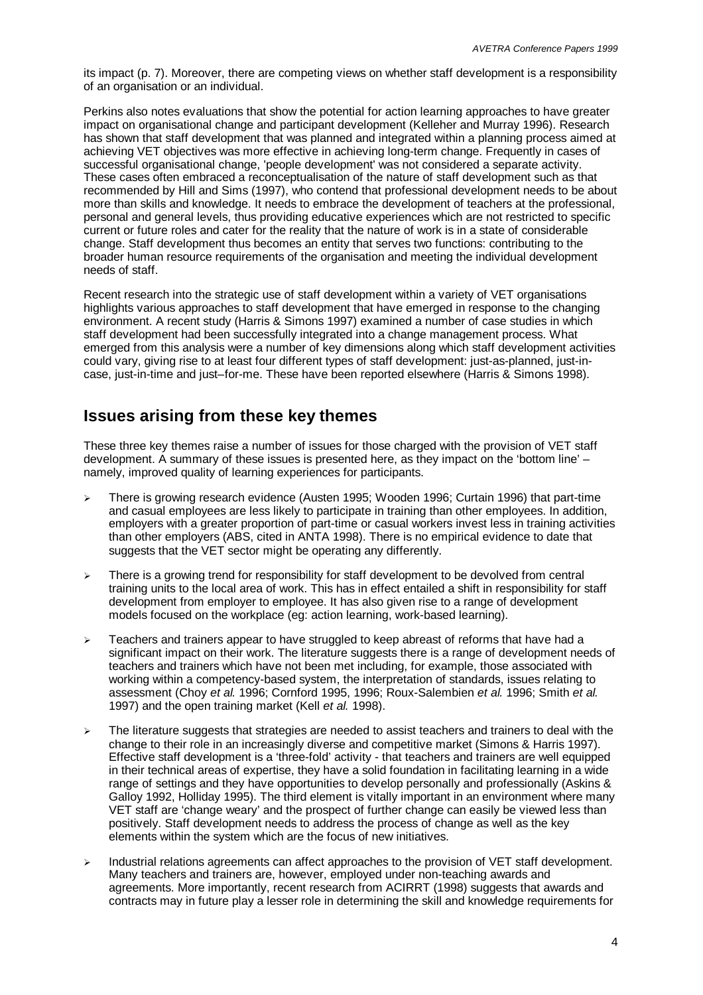its impact (p. 7). Moreover, there are competing views on whether staff development is a responsibility of an organisation or an individual.

Perkins also notes evaluations that show the potential for action learning approaches to have greater impact on organisational change and participant development (Kelleher and Murray 1996). Research has shown that staff development that was planned and integrated within a planning process aimed at achieving VET objectives was more effective in achieving long-term change. Frequently in cases of successful organisational change, 'people development' was not considered a separate activity. These cases often embraced a reconceptualisation of the nature of staff development such as that recommended by Hill and Sims (1997), who contend that professional development needs to be about more than skills and knowledge. It needs to embrace the development of teachers at the professional, personal and general levels, thus providing educative experiences which are not restricted to specific current or future roles and cater for the reality that the nature of work is in a state of considerable change. Staff development thus becomes an entity that serves two functions: contributing to the broader human resource requirements of the organisation and meeting the individual development needs of staff.

Recent research into the strategic use of staff development within a variety of VET organisations highlights various approaches to staff development that have emerged in response to the changing environment. A recent study (Harris & Simons 1997) examined a number of case studies in which staff development had been successfully integrated into a change management process. What emerged from this analysis were a number of key dimensions along which staff development activities could vary, giving rise to at least four different types of staff development: just-as-planned, just-incase, just-in-time and just–for-me. These have been reported elsewhere (Harris & Simons 1998).

## **Issues arising from these key themes**

These three key themes raise a number of issues for those charged with the provision of VET staff development. A summary of these issues is presented here, as they impact on the 'bottom line' – namely, improved quality of learning experiences for participants.

- There is growing research evidence (Austen 1995; Wooden 1996; Curtain 1996) that part-time and casual employees are less likely to participate in training than other employees. In addition, employers with a greater proportion of part-time or casual workers invest less in training activities than other employers (ABS, cited in ANTA 1998). There is no empirical evidence to date that suggests that the VET sector might be operating any differently.
- $\triangleright$  There is a growing trend for responsibility for staff development to be devolved from central training units to the local area of work. This has in effect entailed a shift in responsibility for staff development from employer to employee. It has also given rise to a range of development models focused on the workplace (eg: action learning, work-based learning).
- $\geq$  Teachers and trainers appear to have struggled to keep abreast of reforms that have had a significant impact on their work. The literature suggests there is a range of development needs of teachers and trainers which have not been met including, for example, those associated with working within a competency-based system, the interpretation of standards, issues relating to assessment (Choy *et al.* 1996; Cornford 1995, 1996; Roux-Salembien *et al.* 1996; Smith *et al.* 1997) and the open training market (Kell *et al.* 1998).
- $\geq$  The literature suggests that strategies are needed to assist teachers and trainers to deal with the change to their role in an increasingly diverse and competitive market (Simons & Harris 1997). Effective staff development is a 'three-fold' activity - that teachers and trainers are well equipped in their technical areas of expertise, they have a solid foundation in facilitating learning in a wide range of settings and they have opportunities to develop personally and professionally (Askins & Galloy 1992, Holliday 1995). The third element is vitally important in an environment where many VET staff are 'change weary' and the prospect of further change can easily be viewed less than positively. Staff development needs to address the process of change as well as the key elements within the system which are the focus of new initiatives.
- Industrial relations agreements can affect approaches to the provision of VET staff development. Many teachers and trainers are, however, employed under non-teaching awards and agreements. More importantly, recent research from ACIRRT (1998) suggests that awards and contracts may in future play a lesser role in determining the skill and knowledge requirements for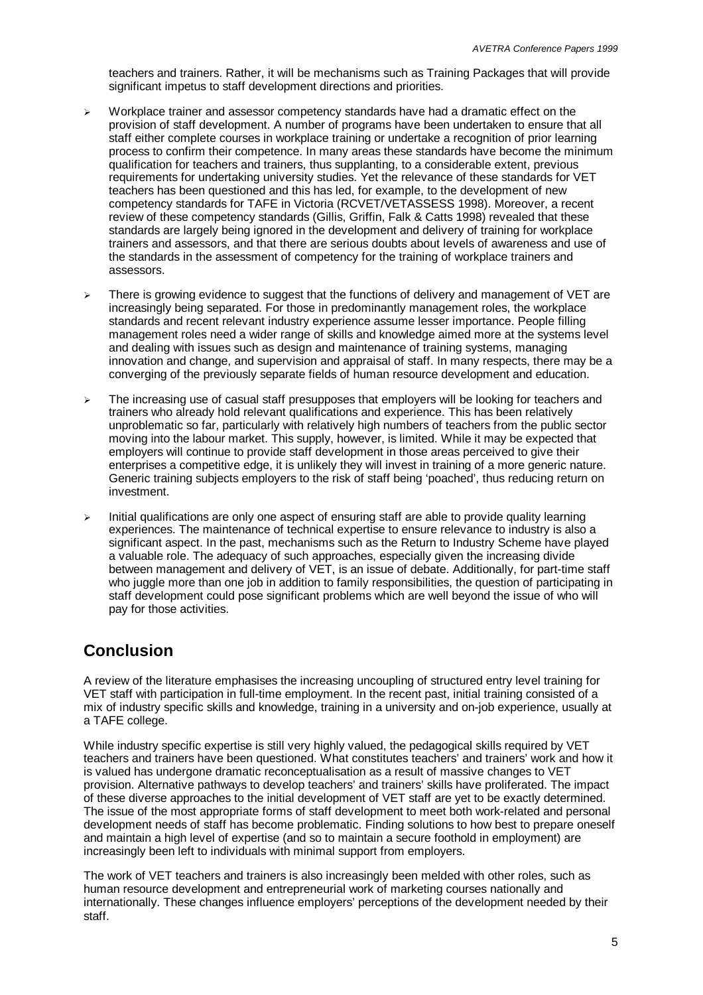teachers and trainers. Rather, it will be mechanisms such as Training Packages that will provide significant impetus to staff development directions and priorities.

- $\triangleright$  Workplace trainer and assessor competency standards have had a dramatic effect on the provision of staff development. A number of programs have been undertaken to ensure that all staff either complete courses in workplace training or undertake a recognition of prior learning process to confirm their competence. In many areas these standards have become the minimum qualification for teachers and trainers, thus supplanting, to a considerable extent, previous requirements for undertaking university studies. Yet the relevance of these standards for VET teachers has been questioned and this has led, for example, to the development of new competency standards for TAFE in Victoria (RCVET/VETASSESS 1998). Moreover, a recent review of these competency standards (Gillis, Griffin, Falk & Catts 1998) revealed that these standards are largely being ignored in the development and delivery of training for workplace trainers and assessors, and that there are serious doubts about levels of awareness and use of the standards in the assessment of competency for the training of workplace trainers and assessors.
- $\triangleright$  There is growing evidence to suggest that the functions of delivery and management of VET are increasingly being separated. For those in predominantly management roles, the workplace standards and recent relevant industry experience assume lesser importance. People filling management roles need a wider range of skills and knowledge aimed more at the systems level and dealing with issues such as design and maintenance of training systems, managing innovation and change, and supervision and appraisal of staff. In many respects, there may be a converging of the previously separate fields of human resource development and education.
- $\geq$  The increasing use of casual staff presupposes that employers will be looking for teachers and trainers who already hold relevant qualifications and experience. This has been relatively unproblematic so far, particularly with relatively high numbers of teachers from the public sector moving into the labour market. This supply, however, is limited. While it may be expected that employers will continue to provide staff development in those areas perceived to give their enterprises a competitive edge, it is unlikely they will invest in training of a more generic nature. Generic training subjects employers to the risk of staff being 'poached', thus reducing return on investment.
- $\triangleright$  Initial qualifications are only one aspect of ensuring staff are able to provide quality learning experiences. The maintenance of technical expertise to ensure relevance to industry is also a significant aspect. In the past, mechanisms such as the Return to Industry Scheme have played a valuable role. The adequacy of such approaches, especially given the increasing divide between management and delivery of VET, is an issue of debate. Additionally, for part-time staff who juggle more than one job in addition to family responsibilities, the question of participating in staff development could pose significant problems which are well beyond the issue of who will pay for those activities.

## **Conclusion**

A review of the literature emphasises the increasing uncoupling of structured entry level training for VET staff with participation in full-time employment. In the recent past, initial training consisted of a mix of industry specific skills and knowledge, training in a university and on-job experience, usually at a TAFE college.

While industry specific expertise is still very highly valued, the pedagogical skills required by VET teachers and trainers have been questioned. What constitutes teachers' and trainers' work and how it is valued has undergone dramatic reconceptualisation as a result of massive changes to VET provision. Alternative pathways to develop teachers' and trainers' skills have proliferated. The impact of these diverse approaches to the initial development of VET staff are yet to be exactly determined. The issue of the most appropriate forms of staff development to meet both work-related and personal development needs of staff has become problematic. Finding solutions to how best to prepare oneself and maintain a high level of expertise (and so to maintain a secure foothold in employment) are increasingly been left to individuals with minimal support from employers.

The work of VET teachers and trainers is also increasingly been melded with other roles, such as human resource development and entrepreneurial work of marketing courses nationally and internationally. These changes influence employers' perceptions of the development needed by their staff.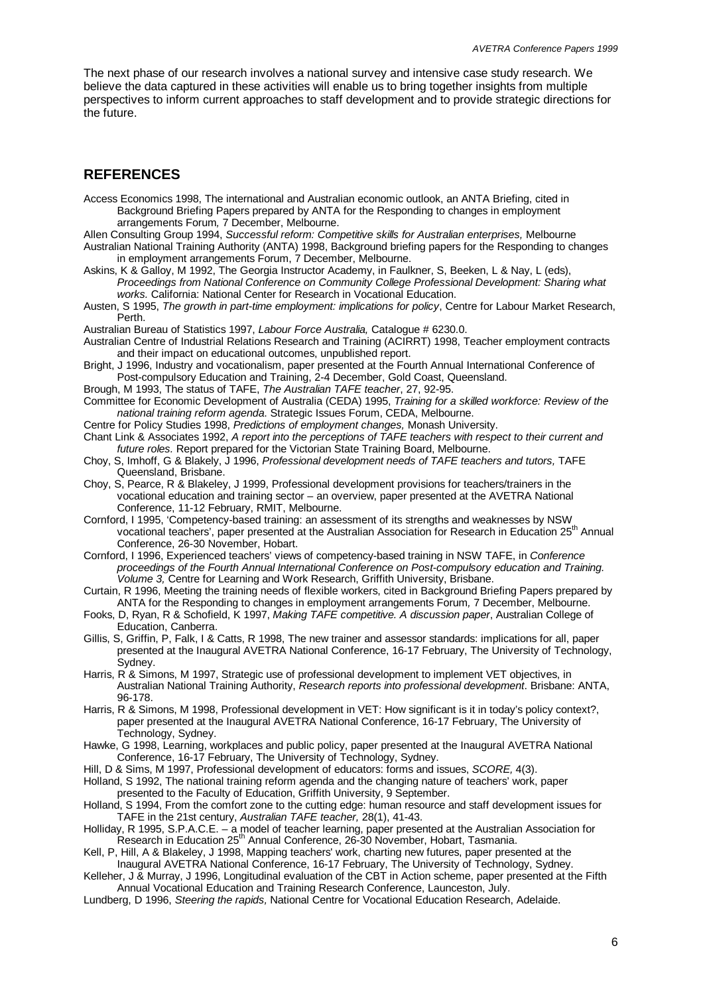The next phase of our research involves a national survey and intensive case study research. We believe the data captured in these activities will enable us to bring together insights from multiple perspectives to inform current approaches to staff development and to provide strategic directions for the future.

#### **REFERENCES**

- Access Economics 1998, The international and Australian economic outlook, an ANTA Briefing, cited in Background Briefing Papers prepared by ANTA for the Responding to changes in employment arrangements Forum*,* 7 December, Melbourne.
- Allen Consulting Group 1994, *Successful reform: Competitive skills for Australian enterprises,* Melbourne Australian National Training Authority (ANTA) 1998, Background briefing papers for the Responding to changes
- in employment arrangements Forum, 7 December, Melbourne. Askins, K & Galloy, M 1992, The Georgia Instructor Academy, in Faulkner, S, Beeken, L & Nay, L (eds), *Proceedings from National Conference on Community College Professional Development: Sharing what works.* California: National Center for Research in Vocational Education.
- Austen, S 1995, *The growth in part-time employment: implications for policy*, Centre for Labour Market Research, Perth.
- Australian Bureau of Statistics 1997, *Labour Force Australia,* Catalogue # 6230.0.
- Australian Centre of Industrial Relations Research and Training (ACIRRT) 1998, Teacher employment contracts and their impact on educational outcomes, unpublished report.
- Bright, J 1996, Industry and vocationalism, paper presented at the Fourth Annual International Conference of Post-compulsory Education and Training, 2-4 December, Gold Coast, Queensland.
- Brough, M 1993, The status of TAFE, *The Australian TAFE teacher*, 27, 92-95.
- Committee for Economic Development of Australia (CEDA) 1995, *Training for a skilled workforce: Review of the national training reform agenda*. Strategic Issues Forum, CEDA, Melbourne.
- Centre for Policy Studies 1998, *Predictions of employment changes,* Monash University.
- Chant Link & Associates 1992, *A report into the perceptions of TAFE teachers with respect to their current and future roles.* Report prepared for the Victorian State Training Board, Melbourne.
- Choy, S, Imhoff, G & Blakely, J 1996, *Professional development needs of TAFE teachers and tutors,* TAFE Queensland, Brisbane.
- Choy, S, Pearce, R & Blakeley, J 1999, Professional development provisions for teachers/trainers in the vocational education and training sector – an overview, paper presented at the AVETRA National Conference, 11-12 February, RMIT, Melbourne.
- Cornford, I 1995, 'Competency-based training: an assessment of its strengths and weaknesses by NSW vocational teachers', paper presented at the Australian Association for Research in Education 25<sup>th</sup> Annual Conference, 26-30 November, Hobart.
- Cornford, I 1996, Experienced teachers' views of competency-based training in NSW TAFE, in *Conference proceedings of the Fourth Annual International Conference on Post-compulsory education and Training. Volume 3,* Centre for Learning and Work Research, Griffith University, Brisbane.
- Curtain, R 1996, Meeting the training needs of flexible workers, cited in Background Briefing Papers prepared by ANTA for the Responding to changes in employment arrangements Forum*,* 7 December, Melbourne.
- Fooks, D, Ryan, R & Schofield, K 1997, *Making TAFE competitive. A discussion paper*, Australian College of Education, Canberra.
- Gillis, S, Griffin, P, Falk, I & Catts, R 1998, The new trainer and assessor standards: implications for all, paper presented at the Inaugural AVETRA National Conference, 16-17 February, The University of Technology, Sydney.
- Harris, R & Simons, M 1997, Strategic use of professional development to implement VET objectives, in Australian National Training Authority, *Research reports into professional development*. Brisbane: ANTA, 96-178.
- Harris, R & Simons, M 1998, Professional development in VET: How significant is it in today's policy context?, paper presented at the Inaugural AVETRA National Conference, 16-17 February, The University of Technology, Sydney.
- Hawke, G 1998, Learning, workplaces and public policy, paper presented at the Inaugural AVETRA National Conference, 16-17 February, The University of Technology, Sydney.
- Hill, D & Sims, M 1997, Professional development of educators: forms and issues, *SCORE,* 4(3).
- Holland, S 1992, The national training reform agenda and the changing nature of teachers' work, paper presented to the Faculty of Education, Griffith University, 9 September.
- Holland, S 1994, From the comfort zone to the cutting edge: human resource and staff development issues for TAFE in the 21st century, *Australian TAFE teacher,* 28(1), 41-43.
- Holliday, R 1995, S.P.A.C.E. a model of teacher learning, paper presented at the Australian Association for Research in Education 25th Annual Conference, 26-30 November, Hobart, Tasmania.
- Kell, P, Hill, A & Blakeley, J 1998, Mapping teachers' work, charting new futures, paper presented at the Inaugural AVETRA National Conference, 16-17 February, The University of Technology, Sydney.
- Kelleher, J & Murray, J 1996, Longitudinal evaluation of the CBT in Action scheme, paper presented at the Fifth Annual Vocational Education and Training Research Conference, Launceston, July.
- Lundberg, D 1996, *Steering the rapids,* National Centre for Vocational Education Research, Adelaide.